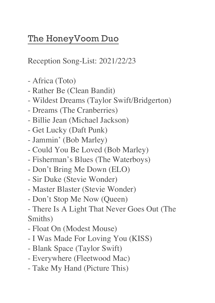## The HoneyVoom Duo

Reception Song-List: 2021/22/23

- Africa (Toto)
- Rather Be (Clean Bandit)
- Wildest Dreams (Taylor Swift/Bridgerton)
- Dreams (The Cranberries)
- Billie Jean (Michael Jackson)
- Get Lucky (Daft Punk)
- Jammin' (Bob Marley)
- Could You Be Loved (Bob Marley)
- Fisherman's Blues (The Waterboys)
- Don't Bring Me Down (ELO)
- Sir Duke (Stevie Wonder)
- Master Blaster (Stevie Wonder)
- Don't Stop Me Now (Queen)
- There Is A Light That Never Goes Out (The Smiths)
- Float On (Modest Mouse)
- I Was Made For Loving You (KISS)
- Blank Space (Taylor Swift)
- Everywhere (Fleetwood Mac)
- Take My Hand (Picture This)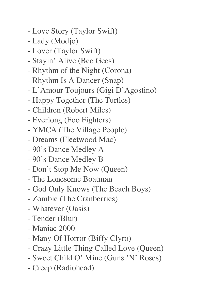- Love Story (Taylor Swift)
- Lady (Modjo)
- Lover (Taylor Swift)
- Stayin' Alive (Bee Gees)
- Rhythm of the Night (Corona)
- Rhythm Is A Dancer (Snap)
- L'Amour Toujours (Gigi D'Agostino)
- Happy Together (The Turtles)
- Children (Robert Miles)
- Everlong (Foo Fighters)
- YMCA (The Village People)
- Dreams (Fleetwood Mac)
- 90's Dance Medley A
- 90's Dance Medley B
- Don't Stop Me Now (Queen)
- The Lonesome Boatman
- God Only Knows (The Beach Boys)
- Zombie (The Cranberries)
- Whatever (Oasis)
- Tender (Blur)
- Maniac 2000
- Many Of Horror (Biffy Clyro)
- Crazy Little Thing Called Love (Queen)
- Sweet Child O' Mine (Guns 'N' Roses)
- Creep (Radiohead)